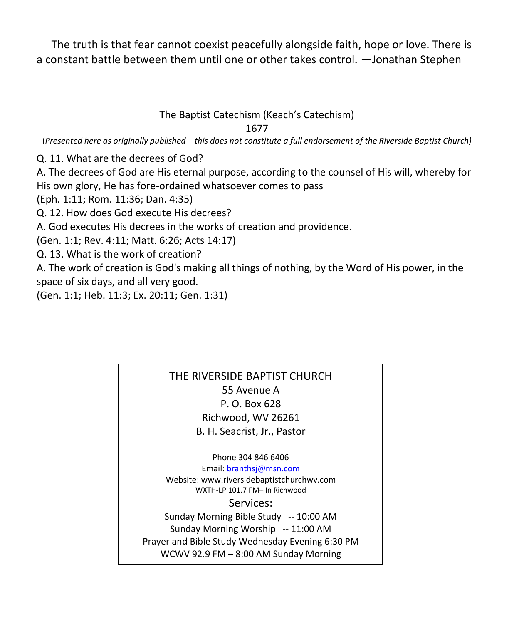The truth is that fear cannot coexist peacefully alongside faith, hope or love. There is a constant battle between them until one or other takes control. —Jonathan Stephen

## The Baptist Catechism (Keach's Catechism)

1677

(*Presented here as originally published – this does not constitute a full endorsement of the Riverside Baptist Church)*

Q. 11. What are the decrees of God?

A. The decrees of God are His eternal purpose, according to the counsel of His will, whereby for His own glory, He has fore-ordained whatsoever comes to pass

(Eph. 1:11; Rom. 11:36; Dan. 4:35)

Q. 12. How does God execute His decrees?

A. God executes His decrees in the works of creation and providence.

(Gen. 1:1; Rev. 4:11; Matt. 6:26; Acts 14:17)

Q. 13. What is the work of creation?

A. The work of creation is God's making all things of nothing, by the Word of His power, in the space of six days, and all very good.

(Gen. 1:1; Heb. 11:3; Ex. 20:11; Gen. 1:31)

## THE RIVERSIDE BAPTIST CHURCH 55 Avenue A P. O. Box 628 Richwood, WV 26261 B. H. Seacrist, Jr., Pastor

Phone 304 846 6406 Email[: branthsj@msn.com](mailto:branthsj@msn.com) Website: www.riversidebaptistchurchwv.com WXTH-LP 101.7 FM– In Richwood Services: Sunday Morning Bible Study -- 10:00 AM Sunday Morning Worship -- 11:00 AM Prayer and Bible Study Wednesday Evening 6:30 PM WCWV 92.9 FM – 8:00 AM Sunday Morning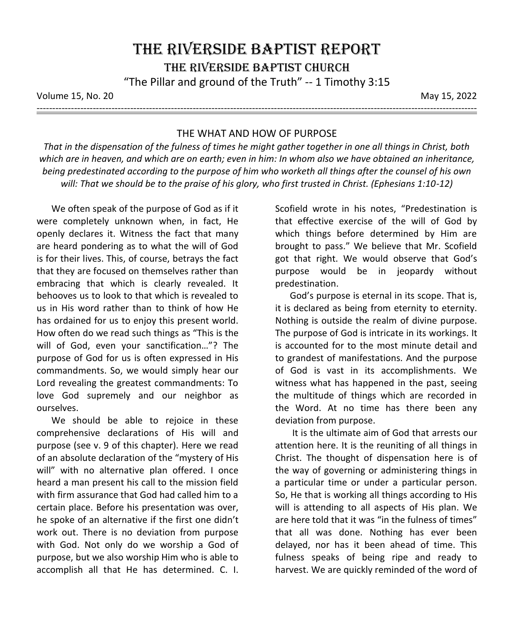Volume 15, No. 20 May 15, 2022

---------------------------------------------------------------------------------------------------------------------------------------------

## THE WHAT AND HOW OF PURPOSE

*That in the dispensation of the fulness of times he might gather together in one all things in Christ, both which are in heaven, and which are on earth; even in him: In whom also we have obtained an inheritance, being predestinated according to the purpose of him who worketh all things after the counsel of his own will: That we should be to the praise of his glory, who first trusted in Christ. (Ephesians 1:10-12)*

We often speak of the purpose of God as if it were completely unknown when, in fact, He openly declares it. Witness the fact that many are heard pondering as to what the will of God is for their lives. This, of course, betrays the fact that they are focused on themselves rather than embracing that which is clearly revealed. It behooves us to look to that which is revealed to us in His word rather than to think of how He has ordained for us to enjoy this present world. How often do we read such things as "This is the will of God, even your sanctification…"? The purpose of God for us is often expressed in His commandments. So, we would simply hear our Lord revealing the greatest commandments: To love God supremely and our neighbor as ourselves.

We should be able to rejoice in these comprehensive declarations of His will and purpose (see v. 9 of this chapter). Here we read of an absolute declaration of the "mystery of His will" with no alternative plan offered. I once heard a man present his call to the mission field with firm assurance that God had called him to a certain place. Before his presentation was over, he spoke of an alternative if the first one didn't work out. There is no deviation from purpose with God. Not only do we worship a God of purpose, but we also worship Him who is able to accomplish all that He has determined. C. I. Scofield wrote in his notes, "Predestination is that effective exercise of the will of God by which things before determined by Him are brought to pass." We believe that Mr. Scofield got that right. We would observe that God's purpose would be in jeopardy without predestination.

God's purpose is eternal in its scope. That is, it is declared as being from eternity to eternity. Nothing is outside the realm of divine purpose. The purpose of God is intricate in its workings. It is accounted for to the most minute detail and to grandest of manifestations. And the purpose of God is vast in its accomplishments. We witness what has happened in the past, seeing the multitude of things which are recorded in the Word. At no time has there been any deviation from purpose.

It is the ultimate aim of God that arrests our attention here. It is the reuniting of all things in Christ. The thought of dispensation here is of the way of governing or administering things in a particular time or under a particular person. So, He that is working all things according to His will is attending to all aspects of His plan. We are here told that it was "in the fulness of times" that all was done. Nothing has ever been delayed, nor has it been ahead of time. This fulness speaks of being ripe and ready to harvest. We are quickly reminded of the word of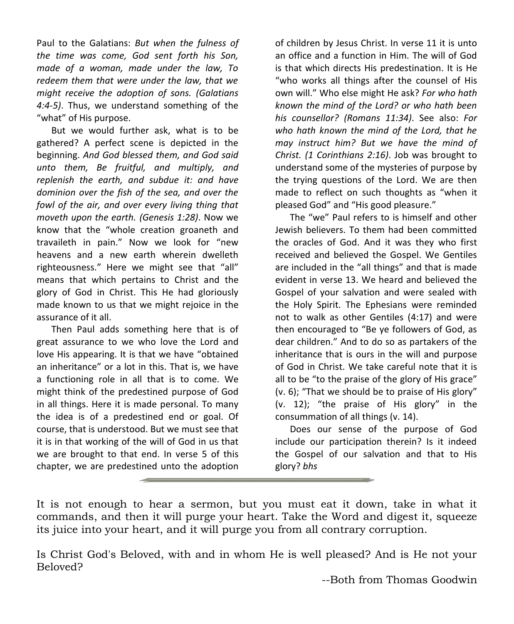Paul to the Galatians: *But when the fulness of the time was come, God sent forth his Son, made of a woman, made under the law, To redeem them that were under the law, that we might receive the adoption of sons. (Galatians 4:4-5)*. Thus, we understand something of the "what" of His purpose.

But we would further ask, what is to be gathered? A perfect scene is depicted in the beginning. *And God blessed them, and God said unto them, Be fruitful, and multiply, and replenish the earth, and subdue it: and have dominion over the fish of the sea, and over the fowl of the air, and over every living thing that moveth upon the earth. (Genesis 1:28)*. Now we know that the "whole creation groaneth and travaileth in pain." Now we look for "new heavens and a new earth wherein dwelleth righteousness." Here we might see that "all" means that which pertains to Christ and the glory of God in Christ. This He had gloriously made known to us that we might rejoice in the assurance of it all.

Then Paul adds something here that is of great assurance to we who love the Lord and love His appearing. It is that we have "obtained an inheritance" or a lot in this. That is, we have a functioning role in all that is to come. We might think of the predestined purpose of God in all things. Here it is made personal. To many the idea is of a predestined end or goal. Of course, that is understood. But we must see that it is in that working of the will of God in us that we are brought to that end. In verse 5 of this chapter, we are predestined unto the adoption

of children by Jesus Christ. In verse 11 it is unto an office and a function in Him. The will of God is that which directs His predestination. It is He "who works all things after the counsel of His own will." Who else might He ask? *For who hath known the mind of the Lord? or who hath been his counsellor? (Romans 11:34)*. See also: *For who hath known the mind of the Lord, that he may instruct him? But we have the mind of Christ. (1 Corinthians 2:16)*. Job was brought to understand some of the mysteries of purpose by the trying questions of the Lord. We are then made to reflect on such thoughts as "when it pleased God" and "His good pleasure."

The "we" Paul refers to is himself and other Jewish believers. To them had been committed the oracles of God. And it was they who first received and believed the Gospel. We Gentiles are included in the "all things" and that is made evident in verse 13. We heard and believed the Gospel of your salvation and were sealed with the Holy Spirit. The Ephesians were reminded not to walk as other Gentiles (4:17) and were then encouraged to "Be ye followers of God, as dear children." And to do so as partakers of the inheritance that is ours in the will and purpose of God in Christ. We take careful note that it is all to be "to the praise of the glory of His grace" (v. 6); "That we should be to praise of His glory" (v. 12); "the praise of His glory" in the consummation of all things (v. 14).

Does our sense of the purpose of God include our participation therein? Is it indeed the Gospel of our salvation and that to His glory? *bhs*

It is not enough to hear a sermon, but you must eat it down, take in what it commands, and then it will purge your heart. Take the Word and digest it, squeeze its juice into your heart, and it will purge you from all contrary corruption.

Is Christ God's Beloved, with and in whom He is well pleased? And is He not your Beloved?